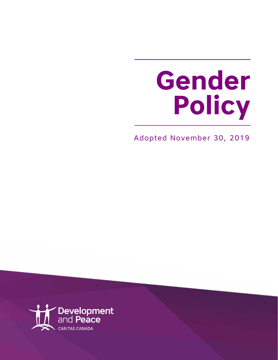# **Gender Policy**

Adopted November 30, 2019

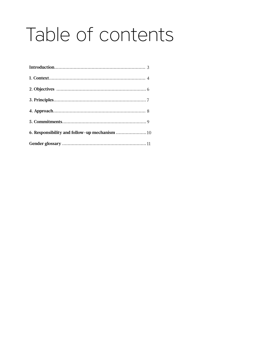### Table of contents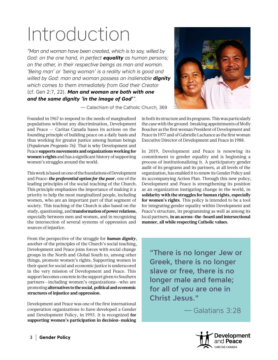### Introduction

*"Man and woman have been created, which is to say, willed by God: on the one hand, in perfect equality as human persons; on the other, in their respective beings as man and woman. 'Being man' or 'being woman' is a reality which is good and willed by God: man and woman possess an inalienable dignity which comes to them immediately from God their Creator*  (cf. Gen 2:7, 22). *Man and woman are both with one and the same dignity 'in the image of God'".* 

— Catechism of the Catholic Church, 369

Founded in 1967 to respond to the needs of marginalized populations without any discrimination, Development and Peace — Caritas Canada bases its actions on the founding principle of building peace on a daily basis and thus working for greater justice among human beings (*Populorum Progessio 76)*. That is why Development and Peace **supports movements and organizations working for women's rights** and has a significant history of supporting women's struggles around the world.

This work is based on one of the foundations of Development and Peace: *the preferential option for the poor*, one of the leading principles of the social teaching of the Church. This principle emphasizes the importance of making it a priority to help the most marginalized people, including women, who are an important part of that segment of society. This teaching of the Church is also based on the study, questioning, and **transformation of power relations**, especially between men and women, and in recognizing the intersection of several systems of oppression and sources of injustice.

From the perspective of the struggle for *human dignity*, another of the principles of the Church's social teaching, Development and Peace joins forces with social change groups in the North and Global South to, among other things, promote women's rights. Supporting women in their quest for social and economic justice is underscored in the very mission of Development and Peace. This support becomes concrete in the support given to Southern partners—including women's organizations—who are promoting **alternatives to the social, political and economic structures of injustice and oppression.**

Development and Peace was one of the first international cooperation organizations to have developed a Gender and Development Policy, in 1993. It is recognized **for supporting women's participation in decision-making** 



in both its structure and its programs. This was particularly the case with the ground-breaking appointments of Molly Boucher as the first woman President of Development and Peace in 1977 and of Gabrielle Lachance as the first woman Executive Director of Development and Peace in 1988.

In 2019, Development and Peace is renewing its commitment to gender equality and is beginning a process of institutionalizing it. A participatory gender audit of its programs and its partners, at all levels of the organization, has enabled it to renew its Gender Policy and its accompanying Action Plan. Through this new policy, Development and Peace is strengthening its position as an organization instigating change in the world, in **solidarity with the struggles for human rights, especially for women's rights**. This policy is intended to be a tool for integrating gender equality within Development and Peace's structure, its programming as well as among its local partners, **in an across-the-board and intersectional manner, all while respecting Catholic values.**

"There is no longer Jew or Greek, there is no longer slave or free, there is no longer male and female; for all of you are one in Christ Jesus."

— Galatians 3:28

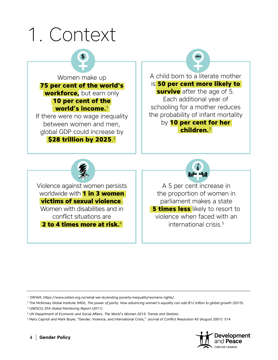



<sup>5</sup> Mary Caprioli and Mark Boyer, "Gender, Violence, and International Crisis," Journal of Conflict Resolution 45 (August 2001): 514



 <sup>1</sup> OXFAM, [https://www.oxfam.org.nz/what-we-do/ending-poverty-inequality/womens-rights/.](https://www.oxfam.org.nz/what-we-do/ending-poverty-inequality/womens-rights/)

<sup>2</sup> The McKinsey Global Institute (MGI), *The power of parity: How advancing women's equality can add \$12 trillion to global growth* (2015).

<sup>3</sup> UNESCO, *EFA Global Monitoring Report* (2011).

<sup>4</sup> UN Department of Economic and Social Affairs. *The World's Women 2015: Trends and Statistic.*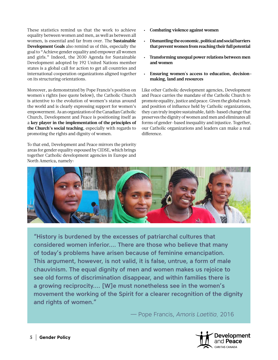These statistics remind us that the work to achieve equality between women and men, as well as between all women, is essential and far from over. The **Sustainable Development Goals** also remind us of this, especially the goal to "Achieve gender equality and empower all women and girls." Indeed, the 2030 Agenda for Sustainable Development adopted by 192 United Nations member states is a global call for action to get all countries and international cooperation organizations aligned together on its structuring orientations.

Moreover, as demonstrated by Pope Francis's position on women's rights (see quote below), the Catholic Church is attentive to the evolution of women's status around the world and is clearly expressing support for women's empowerment. As an organization of the Canadian Catholic Church, Development and Peace is positioning itself as a **key player in the implementation of the principles of the Church's social teaching**, especially with regards to promoting the rights and dignity of women.

To that end, Development and Peace mirrors the priority areas for gender equality espoused by CIDSE, which brings together Catholic development agencies in Europe and North America, namely:

- **• Combating violence against women**
- **• Dismantling the economic, political and social barriers that prevent women from reaching their full potential**
- **• Transforming unequal power relations between men and women**
- **• Ensuring women's access to education, decisionmaking, land and resources**

Like other Catholic development agencies, Development and Peace carries the mandate of the Catholic Church to promote equality, justice and peace. Given the global reach and position of influence held by Catholic organizations, they can truly inspire sustainable, faith-based change that preserves the dignity of women and men and eliminates all forms of gender-based inequality and injustice. Together, our Catholic organizations and leaders can make a real difference.



"History is burdened by the excesses of patriarchal cultures that considered women inferior…. There are those who believe that many of today's problems have arisen because of feminine emancipation. This argument, however, is not valid, it is false, untrue, a form of male chauvinism. The equal dignity of men and women makes us rejoice to see old forms of discrimination disappear, and within families there is a growing reciprocity…. [W]e must nonetheless see in the women's movement the working of the Spirit for a clearer recognition of the dignity and rights of women."

— Pope Francis, *Amoris Laetitia*, 2016

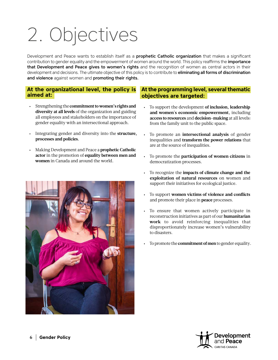## 2. Objectives

Development and Peace wants to establish itself as a **prophetic Catholic organization** that makes a significant contribution to gender equality and the empowerment of women around the world. This policy reaffirms the *importance* that Development and Peace gives to women's rights and the recognition of women as central actors in their development and decisions. The ultimate objective of this policy is to contribute to eliminating all forms of discrimination and violence against women and promoting their rights.

#### **At the organizational level, the policy is aimed at:**

- Strengthening the **commitment to women's rights and diversity at all levels** of the organization and guiding all employees and stakeholders on the importance of gender equality with an intersectional approach.
- Integrating gender and diversity into the **structure, processes and policies.**
- Making Development and Peace a **prophetic Catholic actor** in the promotion of **equality between men and women** in Canada and around the world.



#### **At the programming level, several thematic objectives are targeted:**

- To support the development **of inclusion, leadership and women's economic empowerment**, including **access to resources** and **decision-making** at all levels: from the family unit to the public space.
- To promote an **intersectional analysis** of gender inequalities and **transform the power relations** that are at the source of inequalities.
- To promote the **participation of women citizens** in democratization processes.
- To recognize the **impacts of climate change and the exploitation of natural resources** on women and support their initiatives for ecological justice.
- To support **women victims of violence and conflicts**  and promote their place in **peace** processes.
- To ensure that women actively participate in reconstruction initiatives as part of our **humanitarian work** to avoid reinforcing inequalities that disproportionately increase women's vulnerability to disasters.
- To promote the **commitment of men** to gender equality.

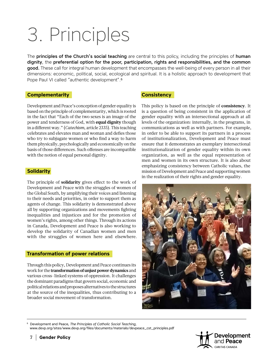### 3. Principles

The **principles of the Church's social teaching** are central to this policy, including the principles of **human** dignity, the preferential option for the poor, participation, rights and responsibilities, and the common good. These call for integral human development that encompasses the well-being of every person in all their dimensions: economic, political, social, ecological and spiritual. It is a holistic approach to development that Pope Paul VI called "authentic development".6

#### **Complementarity**

Development and Peace's conception of gender equality is based on the principle of complementarity, which is rooted in the fact that "Each of the two sexes is an image of the power and tenderness of God, with **equal dignity** though in a different way." (*Catechism*, article 2335). This teaching celebrates and elevates man and woman and defies those who try to subjugate women or who find a way to harm them physically, psychologically and economically on the basis of those differences. Such offenses are incompatible with the notion of equal personal dignity.

#### **Solidarity**

The principle of **solidarity** gives effect to the work of Development and Peace with the struggles of women of the Global South, by amplifying their voices and listening to their needs and priorities, in order to support them as agents of change. This solidarity is demonstrated above all by supporting organizations and movements fighting inequalities and injustices and for the promotion of women's rights, among other things. Through its actions in Canada, Development and Peace is also working to develop the solidarity of Canadian women and men with the struggles of women here and elsewhere.

#### **Transformation of power relations**

Through this policy, Development and Peace continues its work for the **transformation of unjust power dynamics** and various cross-linked systems of oppression. It challenges the dominant paradigms that govern social, economic and political relations and proposes alternatives to the structures at the source of the inequalities, thus contributing to a broader social movement of transformation.

#### **Consistency**

This policy is based on the principle of **consistency**. It is a question of being consistent in the application of gender equality with an intersectional approach at all levels of the organization: internally, in the programs, in communications as well as with partners. For example, in order to be able to support its partners in a process of institutionalization, Development and Peace must ensure that it demonstrates an exemplary intersectional institutionalization of gender equality within its own organization, as well as the equal representation of men and women in its own structure. It is also about emphasizing consistency between Catholic values, the mission of Development and Peace and supporting women in the realization of their rights and gender equality.



6 Development and Peace, *The Principles of Catholic Social Teaching,*

[www.devp.org/sites/www.devp.org/files/documents/materials/devpeace\\_cst\\_principles.pdf](http://www.devp.org/sites/www.devp.org/files/documents/materials/devpeace_cst_principles.pdf)

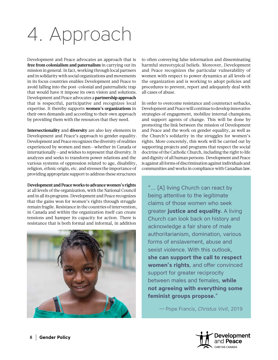### 4. Approach

Development and Peace advocates an approach that is **free from colonialism and paternalism** in carrying out its mission in general. In fact, working through local partners and in solidarity with social organizations and movements in its focus countries enables Development and Peace to avoid falling into the post-colonial and paternalistic trap that would have it impose its own vision and solutions. Development and Peace advocates a **partnership approach**  that is respectful, participative and recognizes local expertise. It thereby supports **women's organizations** in their own demands and according to their own approach by providing them with the resources that they need.

**Intersectionality** and **diversity** are also key elements in Development and Peace's approach to gender equality. Development and Peace recognizes the diversity of realities experienced by women and men—whether in Canada or internationally—and wishes to represent that diversity. It analyzes and seeks to transform power relations and the various systems of oppression related to age, disability, religion, ethnic origin, etc. and stresses the importance of providing appropriate support to address these structures

**Development and Peace works to advance women's rights** at all levels of the organization, with the National Council and in all its programs. Development and Peace recognizes that the gains won for women's rights through struggle remain fragile. Resistance in the countries of intervention, in Canada and within the organization itself can create tensions and hamper its capacity for action. There is resistance that is both formal and informal, in addition



to often conveying false information and disseminating harmful stereotypical beliefs. Moreover, Development and Peace recognizes the particular vulnerability of women with respect to power dynamics at all levels of the organization and is working to adopt policies and procedures to prevent, report and adequately deal with all cases of abuse.

In order to overcome resistance and counteract setbacks, Development and Peace will continue to develop innovative strategies of engagement, mobilize internal champions, and support agents of change. This will be done by promoting the link between the mission of Development and Peace and the work on gender equality, as well as the Church's solidarity in the struggles for women's rights. More concretely, this work will be carried out by supporting projects and programs that respect the social doctrine of the Catholic Church, including the right to life and dignity of all human persons. Development and Peace is against all forms of discrimination against individuals and communities and works in compliance with Canadian law.

"… [A] living Church can react by being attentive to the legitimate claims of those women who seek greater **justice and equality.** A living Church can look back on history and acknowledge a fair share of male authoritarianism, domination, various forms of enslavement, abuse and sexist violence. With this outlook, **she can support the call to respect women's rights**, and offer convinced support for greater reciprocity between males and females, **while not agreeing with everything some feminist groups propose.**"

— Pope Francis, *Christus Vivit*, 2019

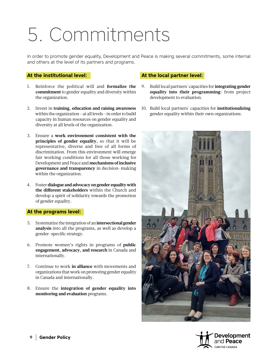### 5. Commitments

In order to promote gender equality, Development and Peace is making several commitments, some internal and others at the level of its partners and programs.

#### **At the institutional level:**

- 1. Reinforce the political will and **formalize the commitment** to gender equality and diversity within the organization.
- 2. Invest in **training, education and raising awareness**  within the organization—at all levels—in order to build capacity in human resources on gender equality and diversity at all levels of the organization.
- 3. Ensure a **work environment consistent with the principles of gender equality**, so that it will be representative, diverse and free of all forms of discrimination. From this environment will emerge fair working conditions for all those working for Development and Peace and **mechanisms of inclusive governance and transparency** in decision-making within the organization.
- 4. Foster **dialogue and advocacy on gender equality with the different stakeholders** within the Church and develop a spirit of solidarity towards the promotion of gender equality.

#### **At the programs level:**

- 5. Systematize the integration of an **intersectional gender analysis** into all the programs, as well as develop a gender-specific strategy.
- 6. Promote women's rights in programs of **public engagement, advocacy, and research** in Canada and internationally.
- 7. Continue to work **in alliance** with movements and organizations that work on promoting gender equality in Canada and internationally.
- 8. Ensure the **integration of gender equality into monitoring and evaluation** programs.

#### **At the local partner level:**

- 9. Build local partners' capacities for **integrating gender equality into their programming:** from project development to evaluation.
- 10. Build local partners' capacities for **institutionalizing** gender equality within their own organizations.



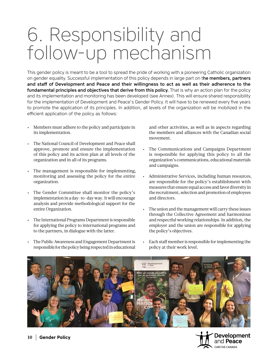### 6. Responsibility and follow-up mechanism

This gender policy is meant to be a tool to spread the pride of working with a pioneering Catholic organization on gender equality. Successful implementation of this policy depends in large part on the members, partners and staff of Development and Peace and their willingness to act as well as their adherence to the fundamental principles and objectives that derive from this policy. That is why an action plan for the policy and its implementation and monitoring has been developed (see Annex). This will ensure shared responsibility for the implementation of Development and Peace's Gender Policy. It will have to be renewed every five years to promote the application of its principles. In addition, all levels of the organization will be mobilized in the efficient application of the policy as follows:

- Members must adhere to the policy and participate in its implementation.
- The National Council of Development and Peace shall approve, promote and ensure the implementation of this policy and its action plan at all levels of the organization and in all of its programs.
- The management is responsible for implementing, monitoring and assessing the policy for the entire organization.
- The Gender Committee shall monitor the policy's implementation in a day-to-day way. It will encourage analysis and provide methodological support for the entire Organization.
- The International Programs Department is responsible for applying the policy to international programs and to the partners, in dialogue with the latter.
- The Public Awareness and Engagement Department is responsible for the policy being respected in educational

and other activities, as well as in aspects regarding the members and alliances with the Canadian social movement.

- The Communications and Campaigns Department is responsible for applying this policy to all the organization's communications, educational materials and campaigns.
- Administrative Services, including human resources, are responsible for the policy's establishment with measures that ensure equal access and favor diversity in the recruitment, selection and promotion of employees and directors.
- The union and the management will carry these issues through the Collective Agreement and harmonious and respectful working relationships. In addition, the employer and the union are responsible for applying the policy's objectives.
- Each staff member is responsible for implementing the policy at their work level.



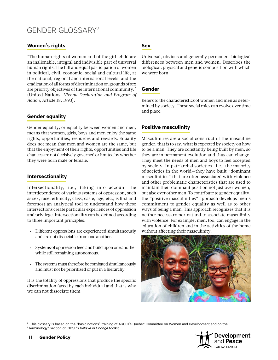### GENDER GLOSSARY7

#### **Women's rights**

"The human rights of women and of the girl-child are an inalienable, integral and indivisible part of universal human rights. The full and equal participation of women in political, civil, economic, social and cultural life, at the national, regional and international levels, and the eradication of all forms of discrimination on grounds of sex are priority objectives of the international community." (United Nations, *Vienna Declaration and Program of Action*, Article 18, 1993).

#### **Gender equality**

Gender equality, or equality between women and men, means that women, girls, boys and men enjoy the same rights, opportunities, resources and rewards. Equality does not mean that men and women are the same, but that the enjoyment of their rights, opportunities and life chances are not decisively governed or limited by whether they were born male or female.

#### **Intersectionality**

Intersectionality, i.e., taking into account the interdependence of various systems of oppression, such as sex, race, ethnicity, class, caste, age, etc., is first and foremost an analytical tool to understand how these intersections create particular experiences of oppression and privilege. Intersectionality can be defined according to three important principles:

- Different oppressions are experienced simultaneously and are not dissociable from one another.
- Systems of oppression feed and build upon one another while still remaining autonomous.
- The systems must therefore be combated simultaneously and must not be prioritized or put in a hierarchy.

It is the totality of oppressions that produce the specific discrimination faced by each individual and that is why we can not dissociate them.

#### **Sex**

Universal, obvious and generally permanent biological differences between men and women. Describes the biological, physical and genetic composition with which we were born.

#### **Gender**

Refers to the characteristics of women and men as determined by society. These social roles can evolve over time and place.

#### **Positive masculinity**

Masculinities are a social construct of the masculine gender, that is to say, what is expected by society on how to be a man. They are constantly being built by men, so they are in permanent evolution and thus can change. They meet the needs of men and boys to feel accepted by society. In patriarchal societies—i.e., the majority of societies in the world—they have built "dominant masculinities" that are often associated with violence and other problematic characteristics that are used to maintain their dominant position not just over women, but also over other men. To contribute to gender equality, the "positive masculinities" approach develops men's commitment to gender equality as well as to other ways of being a man. This approach recognizes that it is neither necessary nor natural to associate masculinity with violence. For example, men, too, can engage in the education of children and in the activities of the home without affecting their masculinity.



<sup>7</sup> This glossary is based on the "basic notions" training of AQOCI's Quebec Committee on Women and Development and on the "Terminology" section of CIDSE's *Believe in Change* toolkit.